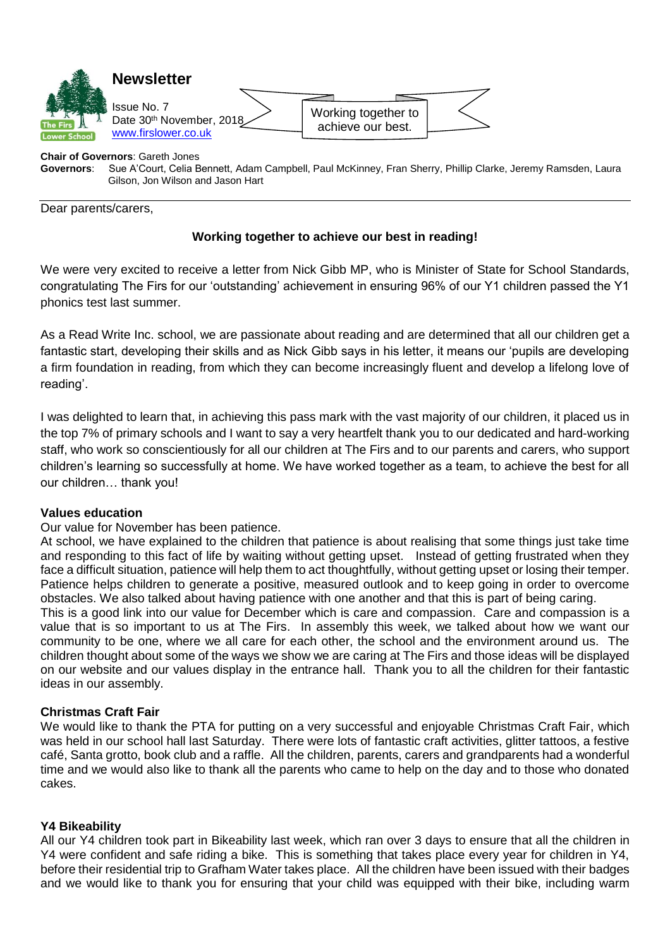

# **Chair of Governors: Gareth Jones<br>
<b>Governors:** Sue A'Court, Celia B

**Governors**: Sue A'Court, Celia Bennett, Adam Campbell, Paul McKinney, Fran Sherry, Phillip Clarke, Jeremy Ramsden, Laura Gilson, Jon Wilson and Jason Hart

Dear parents/carers,

# **Working together to achieve our best in reading!**

We were very excited to receive a letter from Nick Gibb MP, who is Minister of State for School Standards, congratulating The Firs for our 'outstanding' achievement in ensuring 96% of our Y1 children passed the Y1 phonics test last summer.

As a Read Write Inc. school, we are passionate about reading and are determined that all our children get a fantastic start, developing their skills and as Nick Gibb says in his letter, it means our 'pupils are developing a firm foundation in reading, from which they can become increasingly fluent and develop a lifelong love of reading'.

I was delighted to learn that, in achieving this pass mark with the vast majority of our children, it placed us in the top 7% of primary schools and I want to say a very heartfelt thank you to our dedicated and hard-working staff, who work so conscientiously for all our children at The Firs and to our parents and carers, who support children's learning so successfully at home. We have worked together as a team, to achieve the best for all our children… thank you!

#### **Values education**

Our value for November has been patience.

At school, we have explained to the children that patience is about realising that some things just take time and responding to this fact of life by waiting without getting upset. Instead of getting frustrated when they face a difficult situation, patience will help them to act thoughtfully, without getting upset or losing their temper. Patience helps children to generate a positive, measured outlook and to keep going in order to overcome obstacles. We also talked about having patience with one another and that this is part of being caring.

This is a good link into our value for December which is care and compassion. Care and compassion is a value that is so important to us at The Firs. In assembly this week, we talked about how we want our community to be one, where we all care for each other, the school and the environment around us. The children thought about some of the ways we show we are caring at The Firs and those ideas will be displayed on our website and our values display in the entrance hall. Thank you to all the children for their fantastic ideas in our assembly.

## **Christmas Craft Fair**

We would like to thank the PTA for putting on a very successful and enjoyable Christmas Craft Fair, which was held in our school hall last Saturday. There were lots of fantastic craft activities, glitter tattoos, a festive café, Santa grotto, book club and a raffle. All the children, parents, carers and grandparents had a wonderful time and we would also like to thank all the parents who came to help on the day and to those who donated cakes.

#### **Y4 Bikeability**

All our Y4 children took part in Bikeability last week, which ran over 3 days to ensure that all the children in Y4 were confident and safe riding a bike. This is something that takes place every year for children in Y4, before their residential trip to Grafham Water takes place. All the children have been issued with their badges and we would like to thank you for ensuring that your child was equipped with their bike, including warm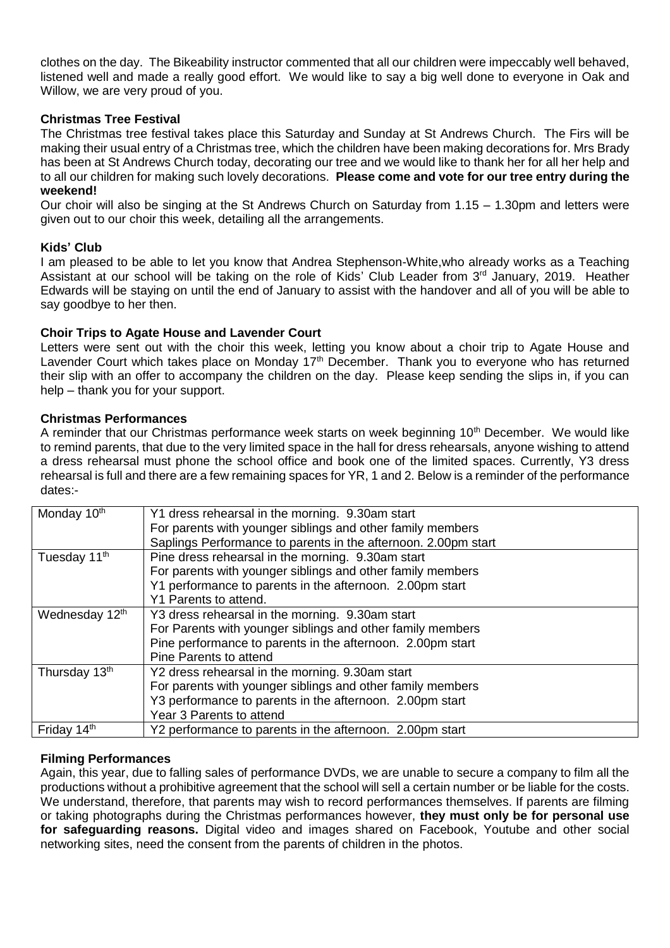clothes on the day. The Bikeability instructor commented that all our children were impeccably well behaved, listened well and made a really good effort. We would like to say a big well done to everyone in Oak and Willow, we are very proud of you.

# **Christmas Tree Festival**

The Christmas tree festival takes place this Saturday and Sunday at St Andrews Church. The Firs will be making their usual entry of a Christmas tree, which the children have been making decorations for. Mrs Brady has been at St Andrews Church today, decorating our tree and we would like to thank her for all her help and to all our children for making such lovely decorations. **Please come and vote for our tree entry during the weekend!**

Our choir will also be singing at the St Andrews Church on Saturday from 1.15 – 1.30pm and letters were given out to our choir this week, detailing all the arrangements.

## **Kids' Club**

I am pleased to be able to let you know that Andrea Stephenson-White,who already works as a Teaching Assistant at our school will be taking on the role of Kids' Club Leader from 3<sup>rd</sup> January, 2019. Heather Edwards will be staying on until the end of January to assist with the handover and all of you will be able to say goodbye to her then.

# **Choir Trips to Agate House and Lavender Court**

Letters were sent out with the choir this week, letting you know about a choir trip to Agate House and Lavender Court which takes place on Monday 17<sup>th</sup> December. Thank you to everyone who has returned their slip with an offer to accompany the children on the day. Please keep sending the slips in, if you can help – thank you for your support.

## **Christmas Performances**

A reminder that our Christmas performance week starts on week beginning 10<sup>th</sup> December. We would like to remind parents, that due to the very limited space in the hall for dress rehearsals, anyone wishing to attend a dress rehearsal must phone the school office and book one of the limited spaces. Currently, Y3 dress rehearsal is full and there are a few remaining spaces for YR, 1 and 2. Below is a reminder of the performance dates:-

| Monday 10 <sup>th</sup>   | Y1 dress rehearsal in the morning. 9.30am start<br>For parents with younger siblings and other family members |  |  |
|---------------------------|---------------------------------------------------------------------------------------------------------------|--|--|
|                           | Saplings Performance to parents in the afternoon. 2.00pm start                                                |  |  |
| Tuesday 11 <sup>th</sup>  | Pine dress rehearsal in the morning. 9.30am start                                                             |  |  |
|                           | For parents with younger siblings and other family members                                                    |  |  |
|                           | Y1 performance to parents in the afternoon. 2.00pm start                                                      |  |  |
|                           | Y1 Parents to attend.                                                                                         |  |  |
| Wednesday 12th            | Y3 dress rehearsal in the morning. 9.30am start                                                               |  |  |
|                           | For Parents with younger siblings and other family members                                                    |  |  |
|                           | Pine performance to parents in the afternoon. 2.00pm start                                                    |  |  |
|                           | Pine Parents to attend                                                                                        |  |  |
| Thursday 13 <sup>th</sup> | Y2 dress rehearsal in the morning. 9.30am start                                                               |  |  |
|                           | For parents with younger siblings and other family members                                                    |  |  |
|                           | Y3 performance to parents in the afternoon. 2.00pm start                                                      |  |  |
|                           | Year 3 Parents to attend                                                                                      |  |  |
| Friday 14th               | Y2 performance to parents in the afternoon. 2.00pm start                                                      |  |  |

## **Filming Performances**

Again, this year, due to falling sales of performance DVDs, we are unable to secure a company to film all the productions without a prohibitive agreement that the school will sell a certain number or be liable for the costs. We understand, therefore, that parents may wish to record performances themselves. If parents are filming or taking photographs during the Christmas performances however, **they must only be for personal use for safeguarding reasons.** Digital video and images shared on Facebook, Youtube and other social networking sites, need the consent from the parents of children in the photos.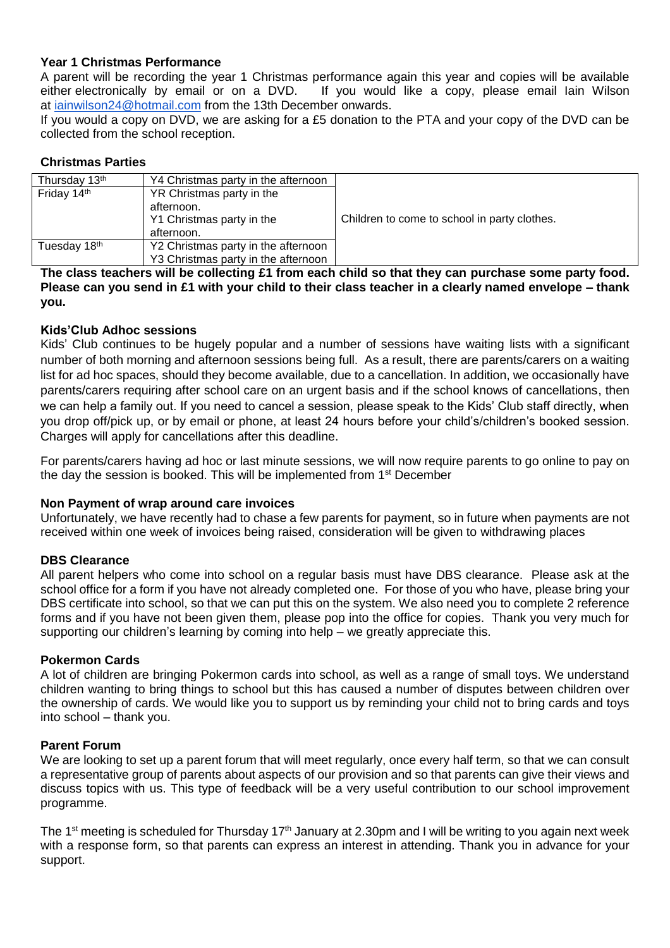# **Year 1 Christmas Performance**

A parent will be recording the year 1 Christmas performance again this year and copies will be available either electronically by email or on a DVD. If you would like a copy, please email Iain Wilson at [iainwilson24@hotmail.com](mailto:iainwilson24@hotmail.com) from the 13th December onwards.

If you would a copy on DVD, we are asking for a £5 donation to the PTA and your copy of the DVD can be collected from the school reception.

# **Christmas Parties**

| Thursday 13th | Y4 Christmas party in the afternoon |                                              |
|---------------|-------------------------------------|----------------------------------------------|
| Friday 14th   | YR Christmas party in the           |                                              |
|               | afternoon.                          |                                              |
|               | Y1 Christmas party in the           | Children to come to school in party clothes. |
|               | afternoon.                          |                                              |
| Tuesday 18th  | Y2 Christmas party in the afternoon |                                              |
|               | Y3 Christmas party in the afternoon |                                              |

**The class teachers will be collecting £1 from each child so that they can purchase some party food. Please can you send in £1 with your child to their class teacher in a clearly named envelope – thank you.**

# **Kids'Club Adhoc sessions**

Kids' Club continues to be hugely popular and a number of sessions have waiting lists with a significant number of both morning and afternoon sessions being full. As a result, there are parents/carers on a waiting list for ad hoc spaces, should they become available, due to a cancellation. In addition, we occasionally have parents/carers requiring after school care on an urgent basis and if the school knows of cancellations, then we can help a family out. If you need to cancel a session, please speak to the Kids' Club staff directly, when you drop off/pick up, or by email or phone, at least 24 hours before your child's/children's booked session. Charges will apply for cancellations after this deadline.

For parents/carers having ad hoc or last minute sessions, we will now require parents to go online to pay on the day the session is booked. This will be implemented from 1<sup>st</sup> December

## **Non Payment of wrap around care invoices**

Unfortunately, we have recently had to chase a few parents for payment, so in future when payments are not received within one week of invoices being raised, consideration will be given to withdrawing places

## **DBS Clearance**

All parent helpers who come into school on a regular basis must have DBS clearance. Please ask at the school office for a form if you have not already completed one. For those of you who have, please bring your DBS certificate into school, so that we can put this on the system. We also need you to complete 2 reference forms and if you have not been given them, please pop into the office for copies. Thank you very much for supporting our children's learning by coming into help – we greatly appreciate this.

## **Pokermon Cards**

A lot of children are bringing Pokermon cards into school, as well as a range of small toys. We understand children wanting to bring things to school but this has caused a number of disputes between children over the ownership of cards. We would like you to support us by reminding your child not to bring cards and toys into school – thank you.

## **Parent Forum**

We are looking to set up a parent forum that will meet regularly, once every half term, so that we can consult a representative group of parents about aspects of our provision and so that parents can give their views and discuss topics with us. This type of feedback will be a very useful contribution to our school improvement programme.

The 1<sup>st</sup> meeting is scheduled for Thursday 17<sup>th</sup> January at 2.30pm and I will be writing to you again next week with a response form, so that parents can express an interest in attending. Thank you in advance for your support.